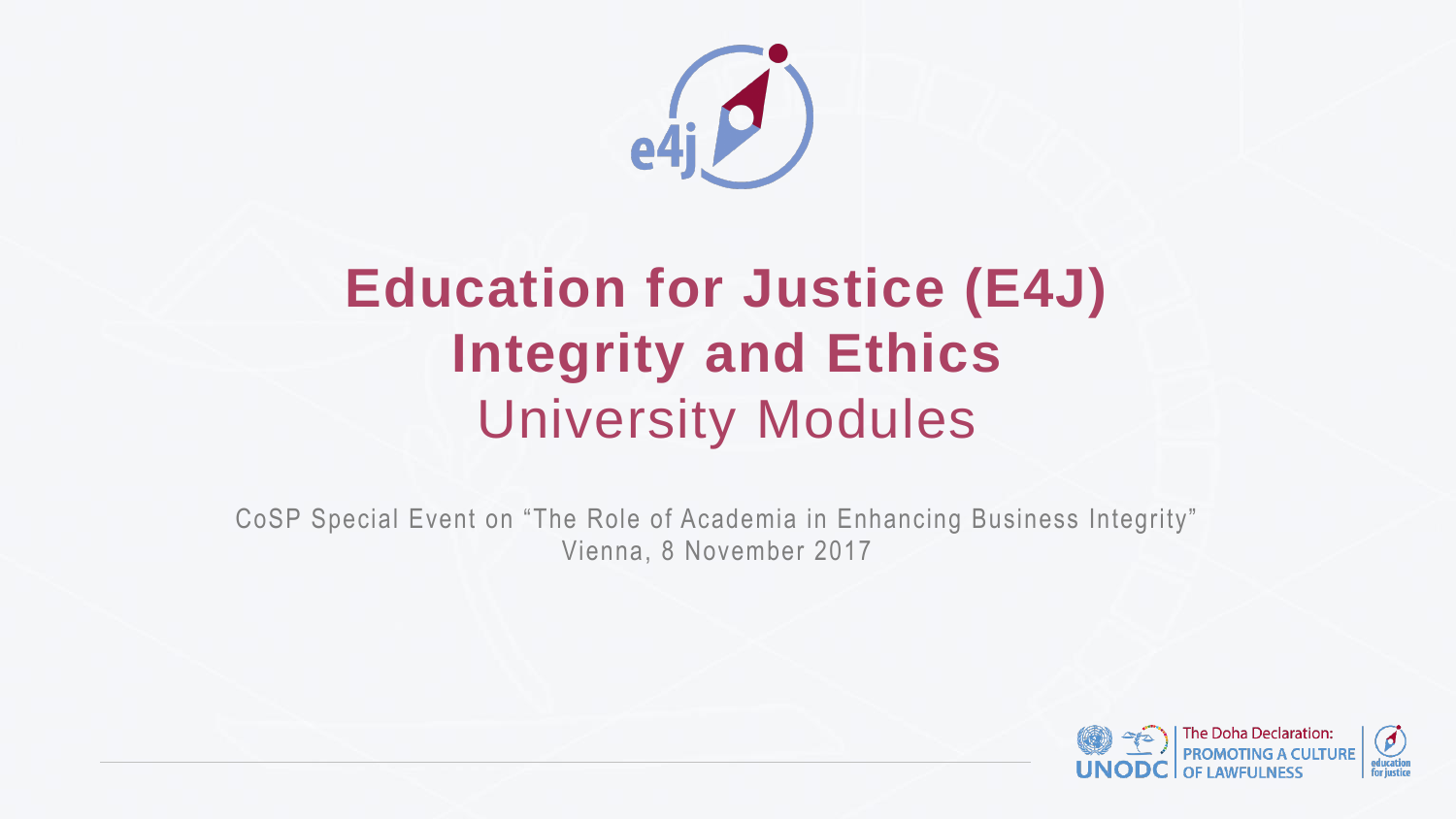# **Education for Justice (E4J) Integrity and Ethics** University Modules

CoSP Special Event on "The Role of Academia in Enhancing Business Integrity" Vienna, 8 November 2017





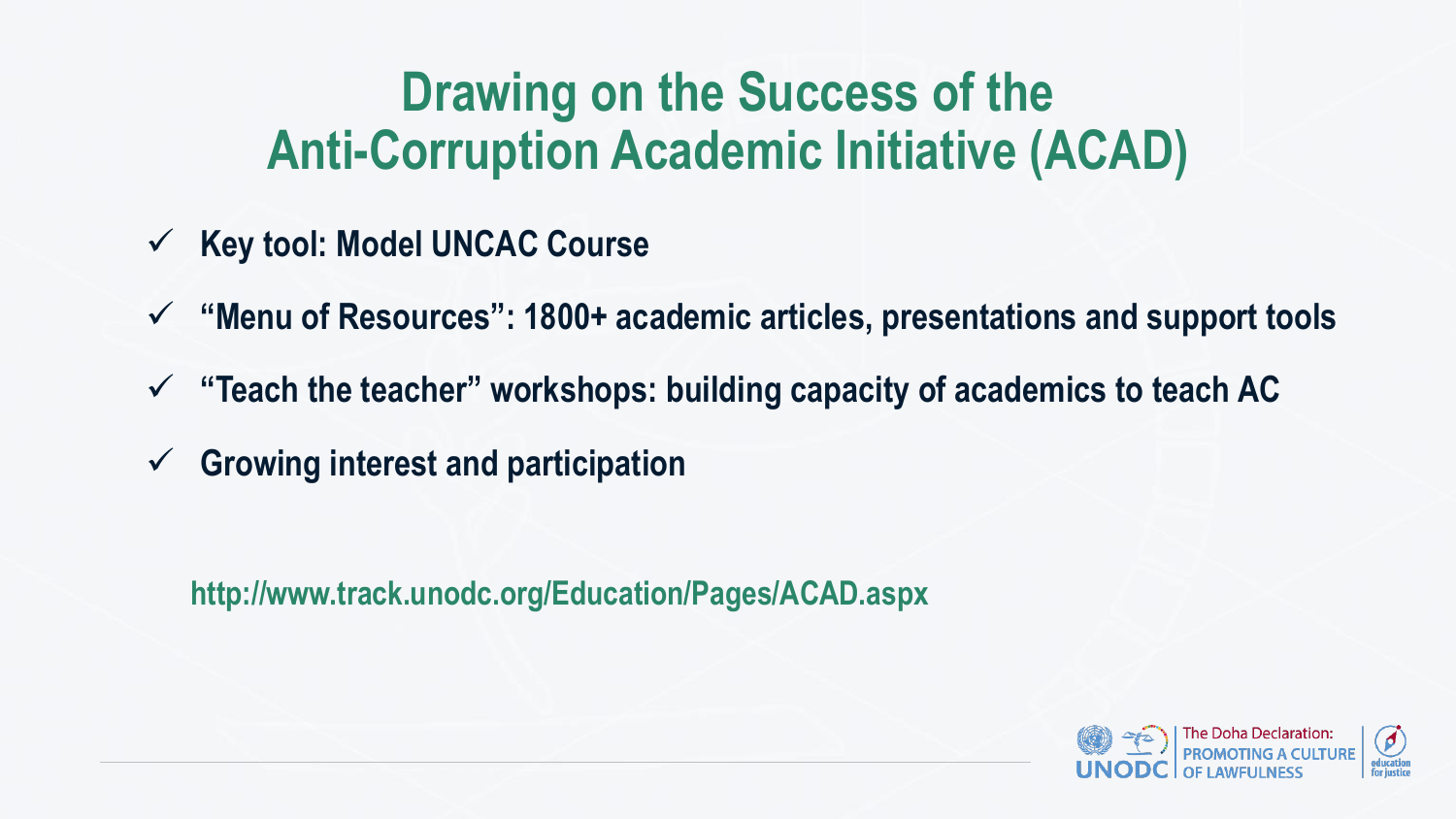## **Drawing on the Success of the Anti-Corruption Academic Initiative (ACAD)**

- **Key tool: Model UNCAC Course**
- **"Menu of Resources": 1800+ academic articles, presentations and support tools "Teach the teacher" workshops: building capacity of academics to teach AC**
- 
- **Growing interest and participation**

**http://www.track.unodc.org/Education/Pages/ACAD.aspx**



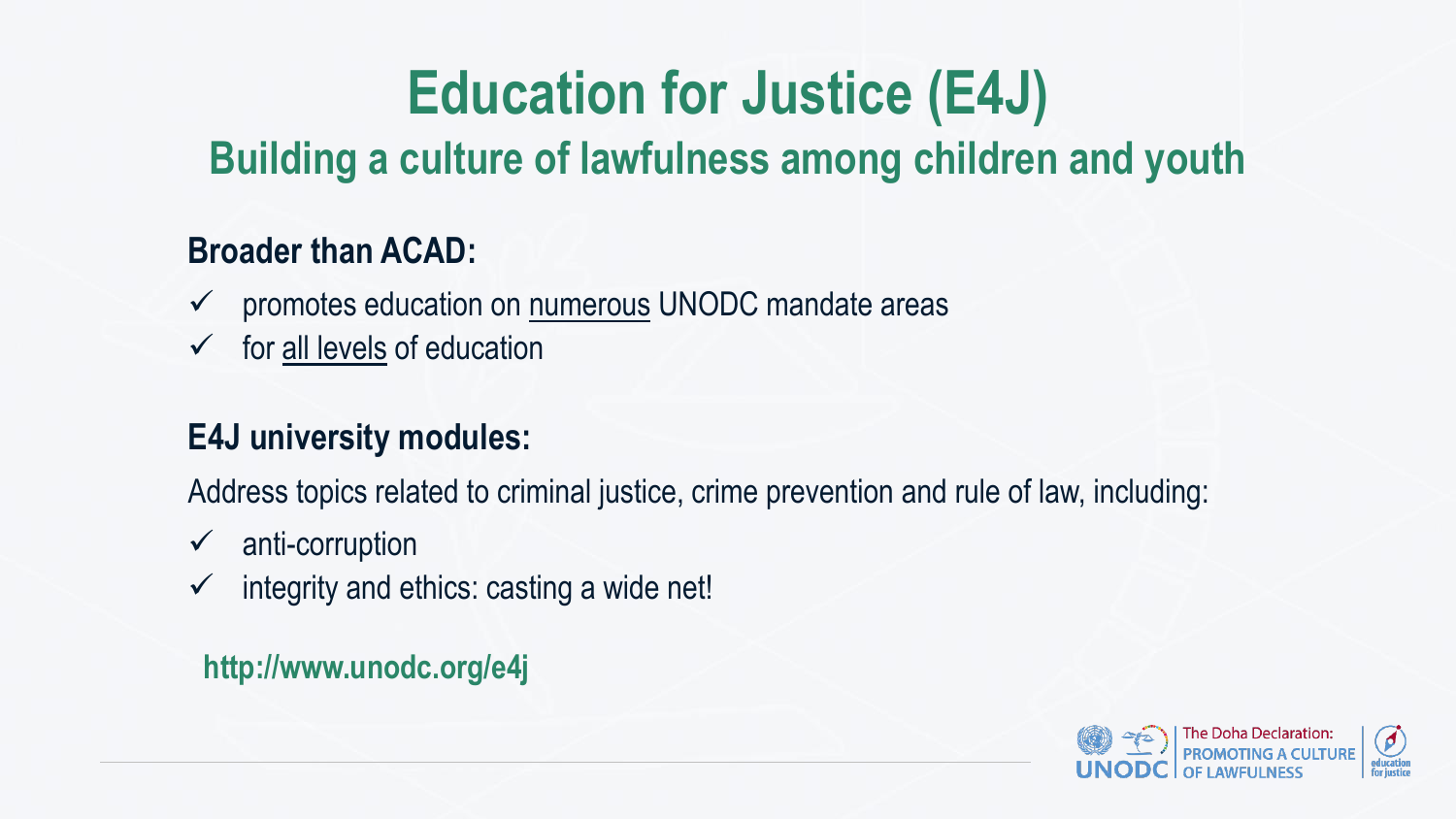# **Education for Justice (E4J) Building a culture of lawfulness among children and youth**

- promotes education on numerous UNODC mandate areas
- $\checkmark$  for all levels of education

## **Broader than ACAD:**

## **E4J university modules:**

Address topics related to criminal justice, crime prevention and rule of law, including:

- $\checkmark$  anti-corruption
- $\checkmark$  integrity and ethics: casting a wide net!

### **http://www.unodc.org/e4j**



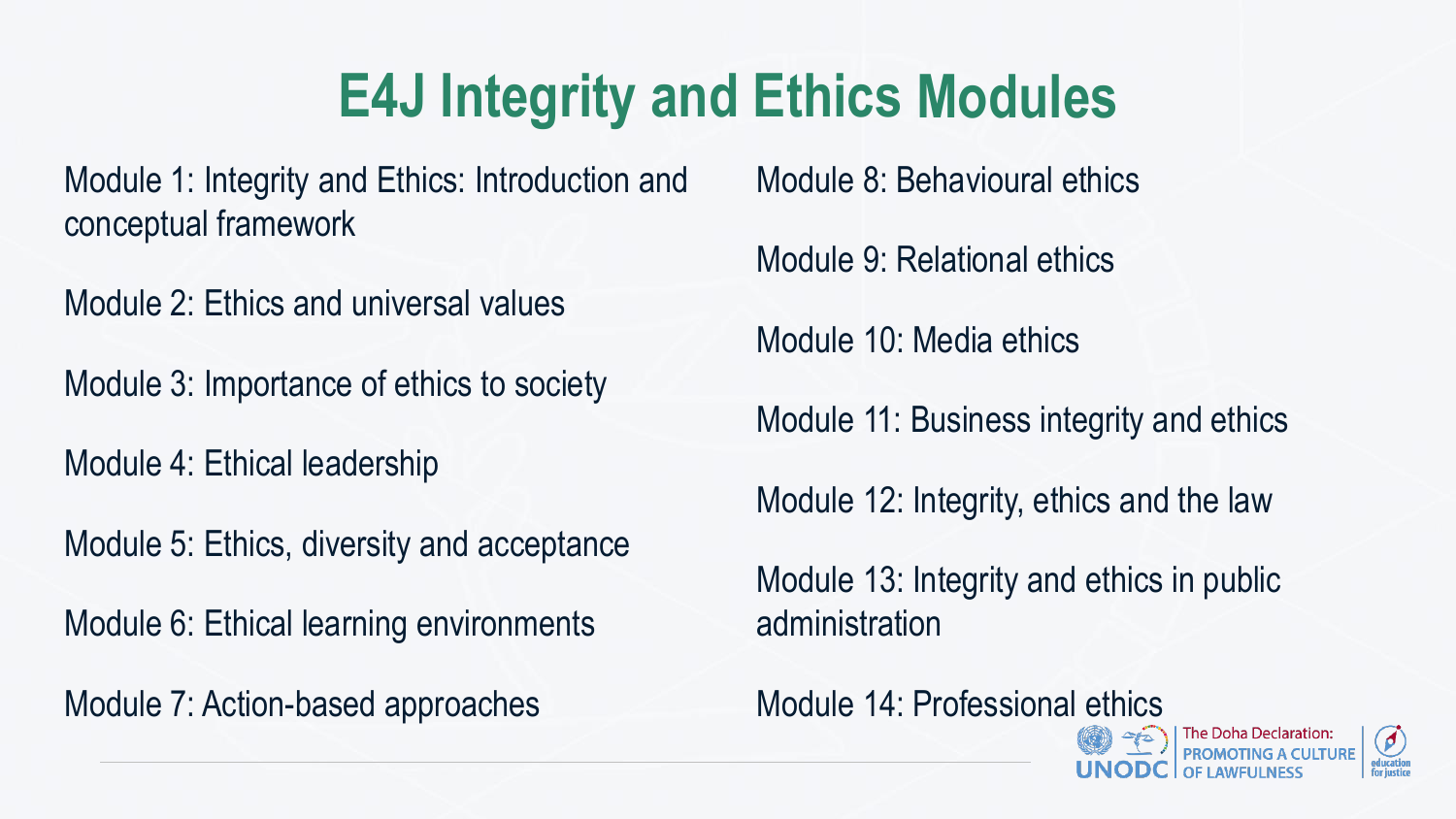Module 2: Ethics and universal values

Module 3: Importance of ethics to society

Module 1: Integrity and Ethics: Introduction and conceptual framework Module 8: Behavioural ethics

Module 4: Ethical leadership

Module 5: Ethics, diversity and acceptance

Module 6: Ethical learning environments

Module 7: Action-based approaches

Module 9: Relational ethics

Module 10: Media ethics

Module 11: Business integrity and ethics

Module 12: Integrity, ethics and the law

Module 13: Integrity and ethics in public administration

Module 14: Professional ethics



The Doha Declaration:<br>PROMOTING A CULTURE **OF LAWFULNESS** 



# **E4J Integrity and Ethics Modules**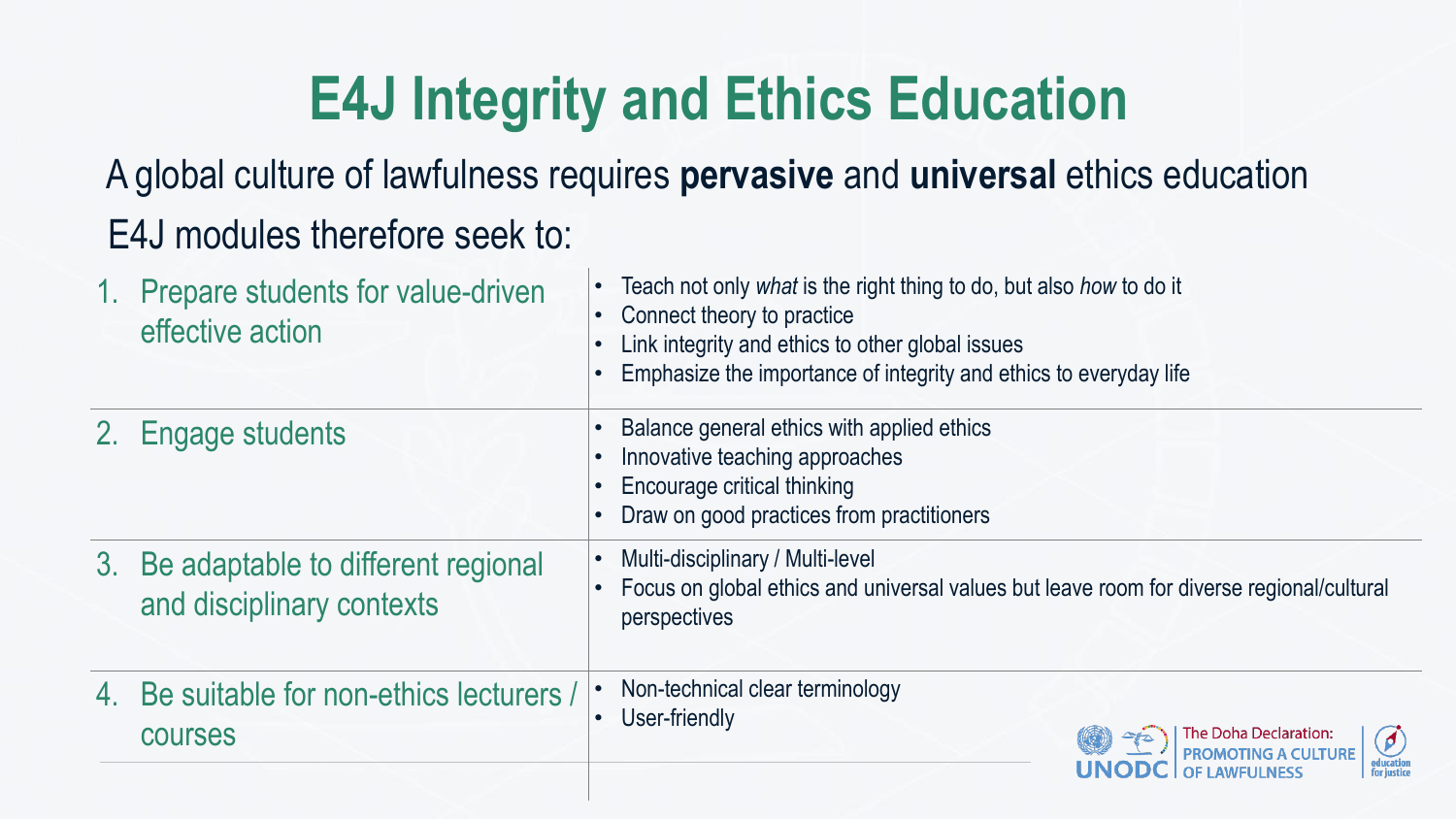# **E4J Integrity and Ethics Education**

|    | 1. Prepare students for value-driven<br>effective action        | Teach r<br>Conned<br>Link int<br>Empha        |
|----|-----------------------------------------------------------------|-----------------------------------------------|
|    | 2. Engage students                                              | <b>Balance</b><br>Innovat<br>Encour<br>Draw o |
| 3. | Be adaptable to different regional<br>and disciplinary contexts | Multi-di<br>$\bullet$<br>Focus o<br>persper   |
| 4. | Be suitable for non-ethics lecturers /<br><b>COUISES</b>        | Non-teo<br>User-fri                           |
|    |                                                                 |                                               |

## A global culture of lawfulness requires **pervasive** and **universal** ethics education E4J modules therefore seek to:

- not only *what* is the right thing to do, but also *how* to do it
- ct theory to practice
- tegrity and ethics to other global issues
- isize the importance of integrity and ethics to everyday life
- e general ethics with applied ethics
- tive teaching approaches
- rage critical thinking
- on good practices from practitioners
- isciplinary / Multi-level
- on global ethics and universal values but leave room for diverse regional/cultural ctives

chnical clear terminology iendly





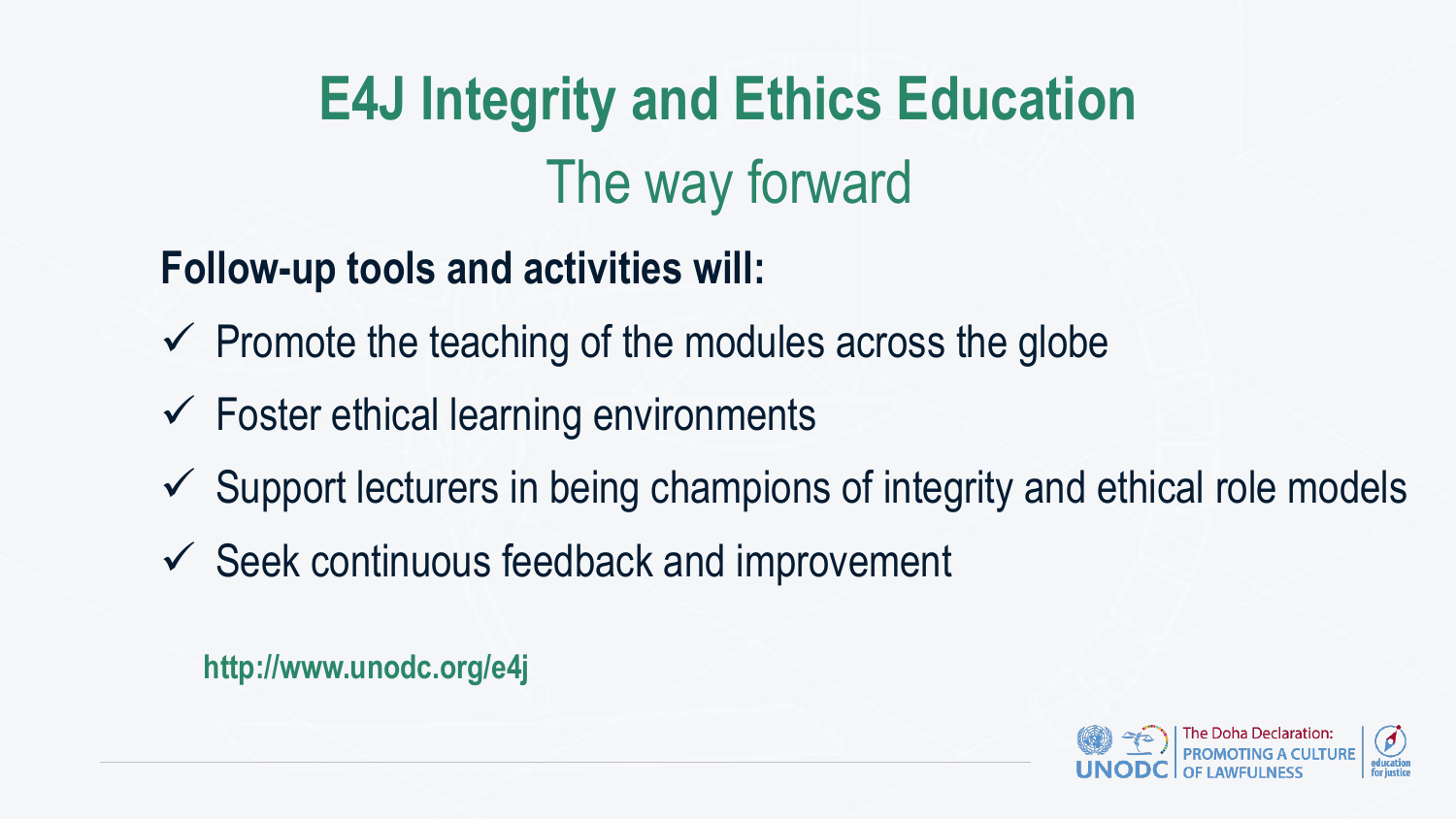## **Follow-up tools and activities will:**

- $\checkmark$  Promote the teaching of the modules across the globe
- Foster ethical learning environments
- $\checkmark$  Support lecturers in being champions of integrity and ethical role models
- $\checkmark$  Seek continuous feedback and improvement
- **E4J Integrity and Ethics Education** The way forward
	-







**http://www.unodc.org/e4j**